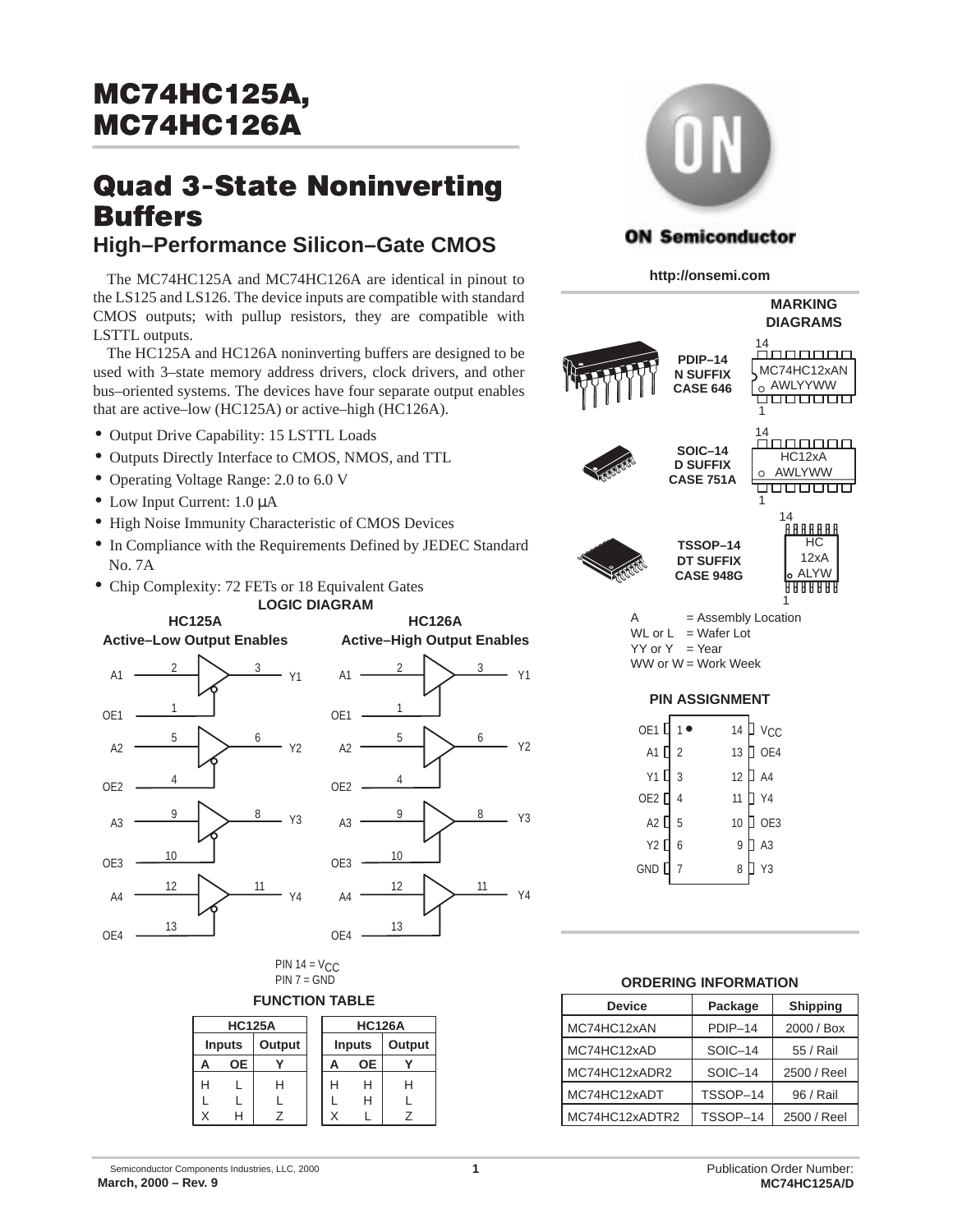# **Quad 3-State Noninverting Buffers**

## **High–Performance Silicon–Gate CMOS**

The MC74HC125A and MC74HC126A are identical in pinout to the LS125 and LS126. The device inputs are compatible with standard CMOS outputs; with pullup resistors, they are compatible with LSTTL outputs.

The HC125A and HC126A noninverting buffers are designed to be used with 3–state memory address drivers, clock drivers, and other bus–oriented systems. The devices have four separate output enables that are active–low (HC125A) or active–high (HC126A).

- Output Drive Capability: 15 LSTTL Loads
- Outputs Directly Interface to CMOS, NMOS, and TTL
- Operating Voltage Range: 2.0 to 6.0 V
- Low Input Current: 1.0  $\mu$ A
- High Noise Immunity Characteristic of CMOS Devices
- In Compliance with the Requirements Defined by JEDEC Standard No. 7A
- Chip Complexity: 72 FETs or 18 Equivalent Gates





**HC126A**

PIN  $14 = V<sub>C</sub>C$  $PIN 7 = GND$ 

### **FUNCTION TABLE**

|   | <b>HC125A</b> |        |   | <b>HC126A</b> |        |
|---|---------------|--------|---|---------------|--------|
|   | <b>Inputs</b> | Output |   | <b>Inputs</b> | Output |
| А | OE.           |        | Α | <b>OE</b>     |        |
| н |               |        |   | н             |        |
|   |               |        |   | н             |        |
|   |               |        |   |               |        |



## **ON Semiconductor**

**http://onsemi.com**



## **ORDERING INFORMATION**

| <b>Device</b>  | Package  | <b>Shipping</b> |
|----------------|----------|-----------------|
| MC74HC12xAN    | PDIP-14  | 2000 / Box      |
| MC74HC12xAD    | SOIC-14  | 55 / Rail       |
| MC74HC12xADR2  | SOIC-14  | 2500 / Reel     |
| MC74HC12xADT   | TSSOP-14 | 96 / Rail       |
| MC74HC12xADTR2 | TSSOP-14 | 2500 / Reel     |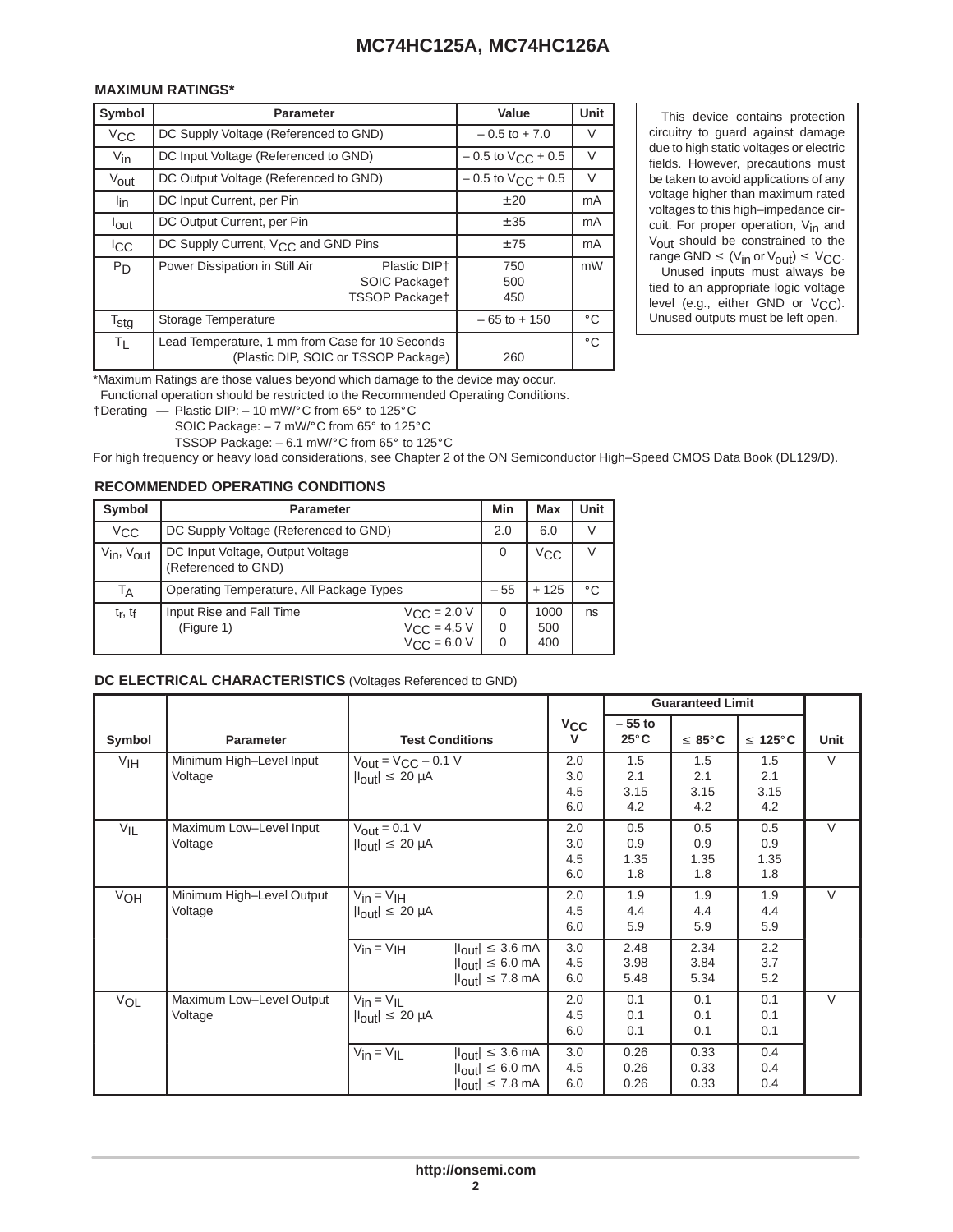### 

| Symbol           | <b>Parameter</b>                                                                        | Value                    | Unit         |
|------------------|-----------------------------------------------------------------------------------------|--------------------------|--------------|
| $V_{CC}$         | DC Supply Voltage (Referenced to GND)                                                   | $-0.5$ to $+7.0$         |              |
| $V_{\text{in}}$  | DC Input Voltage (Referenced to GND)                                                    | $-0.5$ to $V_{CC}$ + 0.5 | V            |
| Vout             | DC Output Voltage (Referenced to GND)                                                   | $-0.5$ to $V_{CC}$ + 0.5 |              |
| lin              | DC Input Current, per Pin                                                               | ± 20                     | mA           |
| lout             | DC Output Current, per Pin                                                              | ± 35                     | mA           |
| <sup>I</sup> CC  | DC Supply Current, V <sub>CC</sub> and GND Pins                                         | ±75                      | mA           |
| P <sub>D</sub>   | Power Dissipation in Still Air<br>Plastic DIP+<br>SOIC Packaget<br>TSSOP Packaget       | 750<br>500<br>450        | mW           |
| $T_{\text{stg}}$ | Storage Temperature                                                                     | $-65$ to $+150$          | $^{\circ}$ C |
| $T_{L}$          | Lead Temperature, 1 mm from Case for 10 Seconds<br>(Plastic DIP, SOIC or TSSOP Package) | 260                      | $^{\circ}$ C |

  \*Maximum Ratings are those values beyond which damage to the device may occur. 

Functional operation should be restricted to the Recommended Operating Conditions. Functional operation should be restricted to the Recomme<br>†Derating — Plastic DIP: – 10 mW/°C from 65° to 125°C

Plastic DIP: – 10 mW/°C from 65° to 125°C<br>SOIC Package: – 7 mW/°C from 65° to 125°C

SOIC Package:  $-7$  mW/ $\textdegree$ C from 65 $\textdegree$  to 125 $\textdegree$ C<br>TSSOP Package:  $-6.1$  mW/ $\textdegree$ C from 65 $\textdegree$  to 125 $\textdegree$ C

For high frequency or heavy load considerations, see Chapter 2 of the ON Semiconductor High–Speed CMOS Data Book (DL129/D).

### **RECOMMENDED OPERATING CONDITIONS**

| Symbol                             | <b>Parameter</b>                                        |                                                                                | Min                | Max                | Unit         |
|------------------------------------|---------------------------------------------------------|--------------------------------------------------------------------------------|--------------------|--------------------|--------------|
| $V_{\rm CC}$                       |                                                         | DC Supply Voltage (Referenced to GND)                                          |                    | 6.0                |              |
| V <sub>in</sub> , V <sub>out</sub> | DC Input Voltage, Output Voltage<br>(Referenced to GND) |                                                                                | v                  | $V_{\rm CC}$       |              |
| $\mathsf{I}_{\mathsf{A}}$          | Operating Temperature, All Package Types                |                                                                                | $-55$              | $+125$             | $^{\circ}$ C |
| $t_r$ , $t_f$                      | Input Rise and Fall Time<br>(Figure 1)                  | $V_{\text{CC}}$ = 2.0 V<br>$V_{\text{CC}} = 4.5 \text{ V}$<br>$V_{CC}$ = 6.0 V | $\Omega$<br>0<br>0 | 1000<br>500<br>400 | ns           |

### **DC ELECTRICAL CHARACTERISTICS** (Voltages Referenced to GND)

|                                             |                                                       |                                                                              |                                                                                                                            |                              | <b>Guaranteed Limit</b>    |                           |                           |        |
|---------------------------------------------|-------------------------------------------------------|------------------------------------------------------------------------------|----------------------------------------------------------------------------------------------------------------------------|------------------------------|----------------------------|---------------------------|---------------------------|--------|
| Symbol                                      | <b>Parameter</b>                                      |                                                                              | <b>Test Conditions</b>                                                                                                     | $v_{\rm CC}$<br>$\mathbf{V}$ | $-55$ to<br>$25^{\circ}$ C | $\leq 85^{\circ}$ C       | $\leq 125^{\circ}$ C      | Unit   |
| V <sub>IH</sub>                             | Minimum High-Level Input<br>Voltage                   | $V_{\text{out}} = V_{\text{CC}} - 0.1 V$<br>$ I_{\text{out}}  \leq 20 \mu A$ |                                                                                                                            | 2.0<br>3.0<br>4.5<br>6.0     | 1.5<br>2.1<br>3.15<br>4.2  | 1.5<br>2.1<br>3.15<br>4.2 | 1.5<br>2.1<br>3.15<br>4.2 | V      |
| $V_{\mathsf{IL}}$                           | Maximum Low-Level Input<br>Voltage                    | $V_{\text{out}} = 0.1 V$<br>$ I_{\text{out}}  \leq 20 \mu A$                 |                                                                                                                            | 2.0<br>3.0<br>4.5<br>6.0     | 0.5<br>0.9<br>1.35<br>1.8  | 0.5<br>0.9<br>1.35<br>1.8 | 0.5<br>0.9<br>1.35<br>1.8 | $\vee$ |
| Minimum High-Level Output<br>VOH<br>Voltage | $V_{in} = V_{IH}$<br>$ I_{\text{out}}  \leq 20 \mu A$ |                                                                              | 2.0<br>4.5<br>6.0                                                                                                          | 1.9<br>4.4<br>5.9            | 1.9<br>4.4<br>5.9          | 1.9<br>4.4<br>5.9         | $\vee$                    |        |
|                                             |                                                       | $V_{in} = V_{IH}$                                                            | $ I_{\text{out}}  \leq 3.6 \text{ mA}$<br>$ I_{\text{out}}  \leq 6.0 \text{ mA}$<br>$ I_{\text{out}}  \leq 7.8 \text{ mA}$ | 3.0<br>4.5<br>6.0            | 2.48<br>3.98<br>5.48       | 2.34<br>3.84<br>5.34      | 2.2<br>3.7<br>5.2         |        |
| VOL                                         | Maximum Low-Level Output<br>Voltage                   | $V_{in} = V_{IL}$<br>$ I_{\text{out}}  \leq 20 \mu A$                        |                                                                                                                            | 2.0<br>4.5<br>6.0            | 0.1<br>0.1<br>0.1          | 0.1<br>0.1<br>0.1         | 0.1<br>0.1<br>0.1         | V      |
|                                             |                                                       | $V_{in} = V_{IL}$                                                            | $ I_{\text{out}}  \leq 3.6 \text{ mA}$<br>$ I_{\text{out}}  \leq 6.0 \text{ mA}$<br>$ I_{\text{out}}  \le 7.8 \text{ mA}$  | 3.0<br>4.5<br>6.0            | 0.26<br>0.26<br>0.26       | 0.33<br>0.33<br>0.33      | 0.4<br>0.4<br>0.4         |        |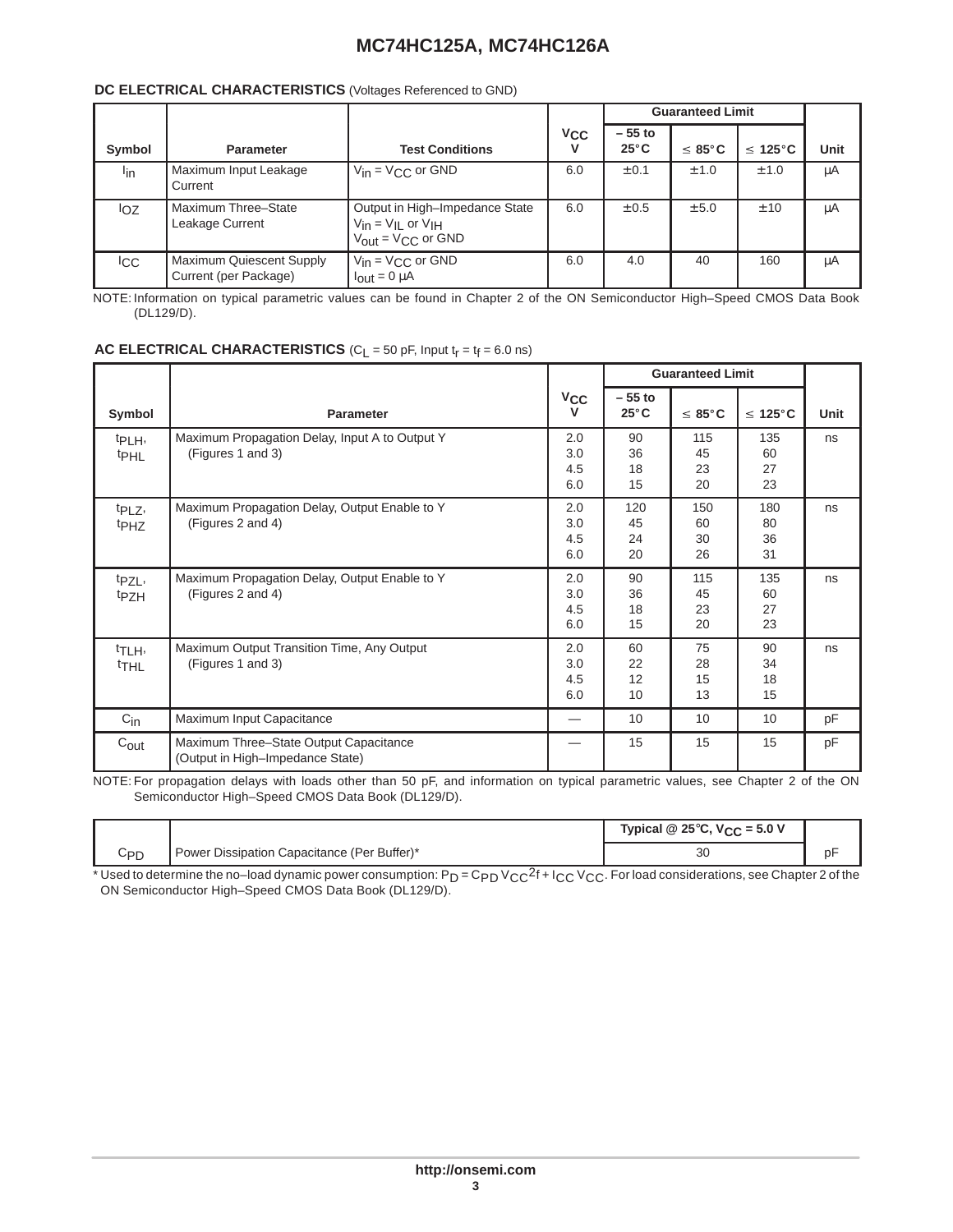## **DC ELECTRICAL CHARACTERISTICS** (Voltages Referenced to GND)

|                 |                                                   |                                                                                                            |          | <b>Guaranteed Limit</b>    |                     |                      |      |
|-----------------|---------------------------------------------------|------------------------------------------------------------------------------------------------------------|----------|----------------------------|---------------------|----------------------|------|
| Symbol          | <b>Parameter</b>                                  | <b>Test Conditions</b>                                                                                     | $V_{CC}$ | $-55$ to<br>$25^{\circ}$ C | $\leq 85^{\circ}$ C | $\leq 125^{\circ}$ C | Unit |
| l <sub>in</sub> | Maximum Input Leakage<br>Current                  | $V_{in} = V_{CC}$ or GND                                                                                   | 6.0      | ± 0.1                      | ± 1.0               | ± 1.0                | μA   |
| loz             | l Maximum Three–State<br>Leakage Current          | Output in High-Impedance State<br>$V_{in} = V_{IL}$ or $V_{IH}$<br>$V_{\text{out}} = V_{\text{CC}}$ or GND | 6.0      | ± 0.5                      | ± 5.0               | ± 10                 | μA   |
| <sub>ICC</sub>  | Maximum Quiescent Supply<br>Current (per Package) | $V_{in} = V_{CC}$ or GND<br>$I_{\text{out}} = 0 \mu A$                                                     | 6.0      | 4.0                        | 40                  | 160                  | μA   |

 (DL129/D).  $\overline{1}$  and  $\overline{1}$ NOTE: Information on typical parametric values can be found in Chapter 2 of the ON Semiconductor High–Speed CMOS Data Book

## **AC ELECTRICAL CHARACTERISTICS**  $(C_L = 50 \text{ pF}, \text{Input } t_f = t_f = 6.0 \text{ ns})$

|                                        |                                                                            |                          |                            | <b>Guaranteed Limit</b> |                       |      |  |
|----------------------------------------|----------------------------------------------------------------------------|--------------------------|----------------------------|-------------------------|-----------------------|------|--|
| Symbol                                 | <b>Parameter</b>                                                           | $v_{\rm CC}$<br>v        | $-55$ to<br>$25^{\circ}$ C | $≤ 85^\circ \text{C}$   | $\leq 125^{\circ}$ C  | Unit |  |
| t <sub>PLH</sub> ,<br>t <sub>PHL</sub> | Maximum Propagation Delay, Input A to Output Y<br>(Figures 1 and 3)        | 2.0<br>3.0<br>4.5<br>6.0 | 90<br>36<br>18<br>15       | 115<br>45<br>23<br>20   | 135<br>60<br>27<br>23 | ns   |  |
| t <sub>PLZ</sub> ,<br>t <sub>PHZ</sub> | Maximum Propagation Delay, Output Enable to Y<br>(Figures 2 and 4)         | 2.0<br>3.0<br>4.5<br>6.0 | 120<br>45<br>24<br>20      | 150<br>60<br>30<br>26   | 180<br>80<br>36<br>31 | ns   |  |
| t <sub>PZL</sub> ,<br><sup>t</sup> PZH | Maximum Propagation Delay, Output Enable to Y<br>(Figures 2 and 4)         | 2.0<br>3.0<br>4.5<br>6.0 | 90<br>36<br>18<br>15       | 115<br>45<br>23<br>20   | 135<br>60<br>27<br>23 | ns   |  |
| t <sub>TLH</sub> ,<br><sup>t</sup> THL | Maximum Output Transition Time, Any Output<br>(Figures 1 and 3)            | 2.0<br>3.0<br>4.5<br>6.0 | 60<br>22<br>12<br>10       | 75<br>28<br>15<br>13    | 90<br>34<br>18<br>15  | ns   |  |
| $C_{\text{in}}$                        | Maximum Input Capacitance                                                  | $\overline{\phantom{m}}$ | 10                         | 10 <sup>°</sup>         | 10                    | pF   |  |
| $C_{\text{out}}$                       | Maximum Three-State Output Capacitance<br>(Output in High-Impedance State) |                          | 15                         | 15                      | 15                    | pF   |  |

Semiconductor High–Speed CMOS Data Book (DL129/D). NOTE: For propagation delays with loads other than 50 pF, and information on typical parametric values, see Chapter 2 of the ON

|                 |                                             | Typical @ $25^{\circ}$ C, V <sub>CC</sub> = 5.0 V |  |
|-----------------|---------------------------------------------|---------------------------------------------------|--|
| C <sub>PD</sub> | Power Dissipation Capacitance (Per Buffer)* | 30                                                |  |

\* Used to determine the no–load dynamic power consumption: P<sub>D</sub> = C<sub>PD</sub> V<sub>CC</sub><sup>2</sup>f + I<sub>CC</sub> V<sub>CC</sub>. For load considerations, see Chapter 2 of the<br>ON Semiconductor High–Speed CMOS Data Book (DL129/D).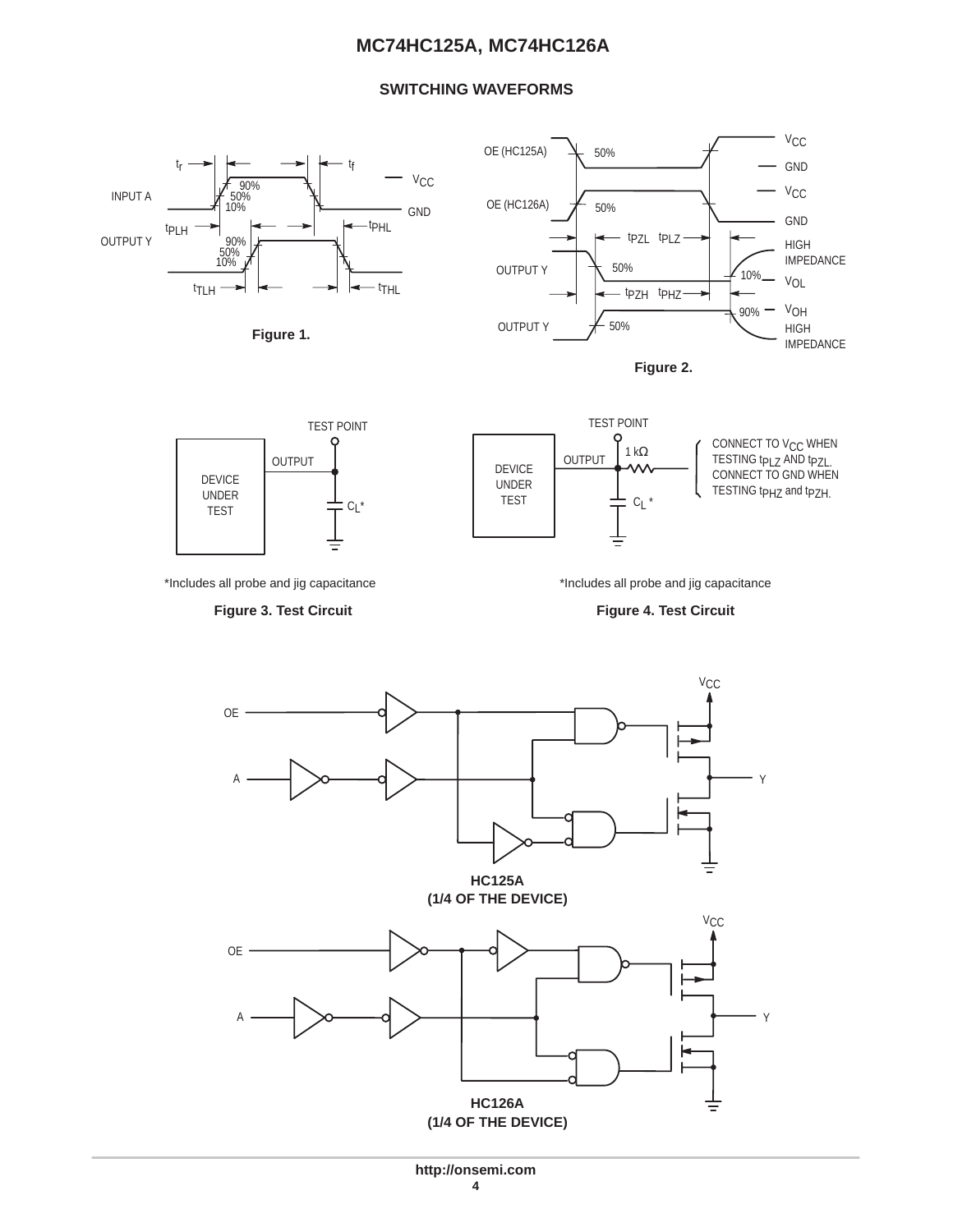## **SWITCHING WAVEFORMS**

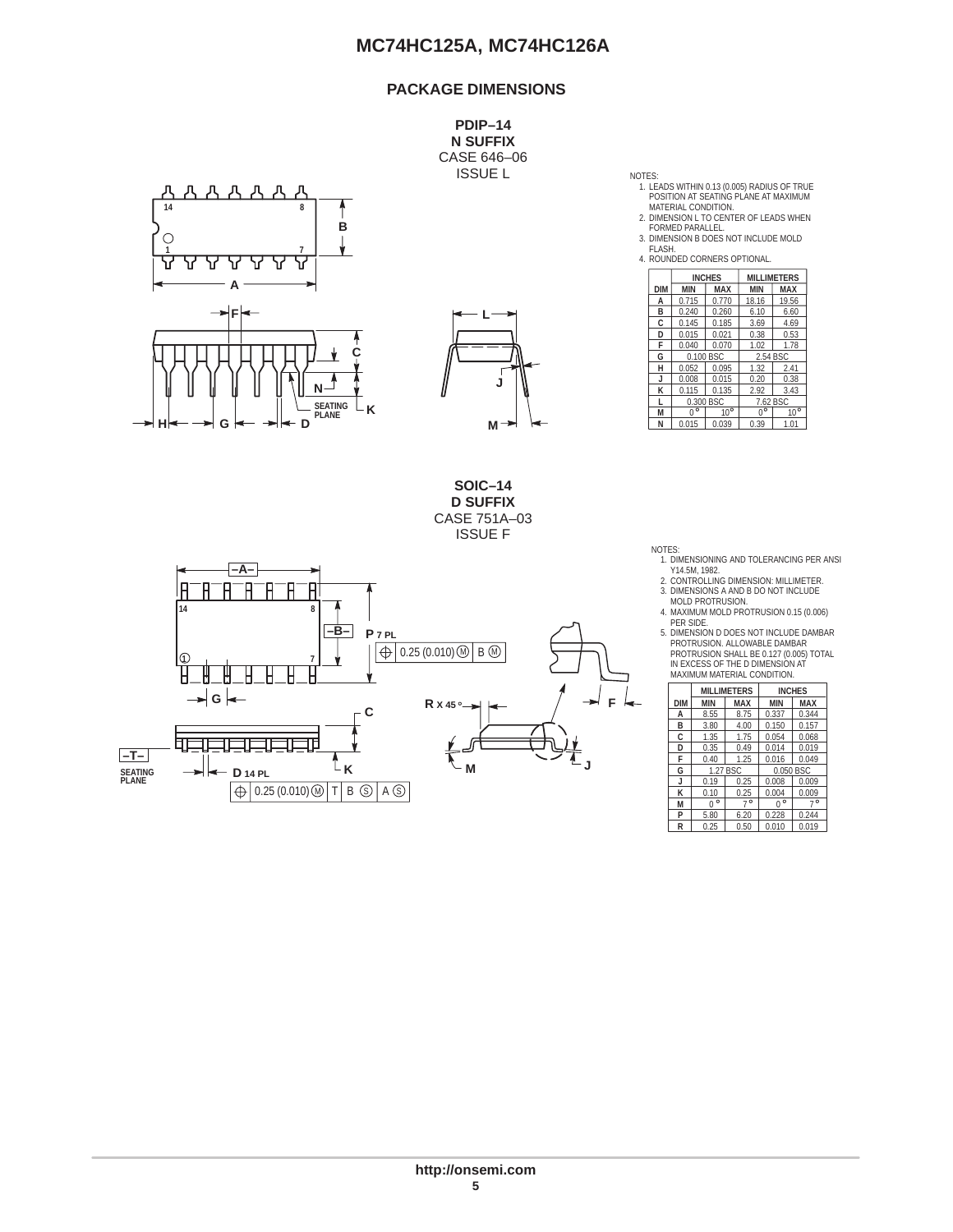## **PACKAGE DIMENSIONS**

**PDIP–14 N SUFFIX** CASE 646–06 **ISSUE L** 





**SOIC–14 D SUFFIX** CASE 751A–03 ISSUE F



- 1. LEADS WITHIN 0.13 (0.005) RADIUS OF TRUE POSITION AT SEATING PLANE AT MAXIMUM
- MATERIAL CONDITION. 2. DIMENSION L TO CENTER OF LEADS WHEN FORMED PARALLEL.
- 3. DIMENSION B DOES NOT INCLUDE MOLD
- FLASH. 4. ROUNDED CORNERS OPTIONAL.

|            | <b>INVALUATE LE VALINIAL IN SECULI LIVIANE.</b> |               |             |                    |
|------------|-------------------------------------------------|---------------|-------------|--------------------|
|            |                                                 | <b>INCHES</b> |             | <b>MILLIMETERS</b> |
| <b>DIM</b> | <b>MIN</b>                                      | <b>MAX</b>    | <b>MIN</b>  | <b>MAX</b>         |
| А          | 0.715                                           | 0.770         | 18.16       | 19.56              |
| B          | 0.240                                           | 0.260         | 6.10        | 6.60               |
| C          | 0.145                                           | 0.185         | 3.69        | 4.69               |
| D          | 0.015                                           | 0.021         | 0.38        | 0.53               |
| F          | 0.040                                           | 0.070         | 1.02        | 1.78               |
| G          | 0.100 BSC                                       |               | 2.54 BSC    |                    |
| н          | 0.052                                           | 0.095         | 1.32        | 2.41               |
| J          | 0.008                                           | 0.015         | 0.20        | 0.38               |
| К          | 0.115                                           | 0.135         | 2.92        | 3.43               |
| п          | 0.300 BSC                                       |               |             | 7.62 BSC           |
| M          | $0^{\circ}$                                     | $10^{\circ}$  | $0^{\circ}$ | $10^{\circ}$       |
| N          | 0.015                                           | 0.039         | 0.39        | 1.01               |

- NOTES: 1. DIMENSIONING AND TOLERANCING PER ANSI
- Y14.5M, 1982. 2. CONTROLLING DIMENSION: MILLIMETER. 3. DIMENSIONS A AND B DO NOT INCLUDE
- MOLD PROTRUSION. 4. MAXIMUM MOLD PROTRUSION 0.15 (0.006) PER SIDE.
- 5. DIMENSION D DOES NOT INCLUDE DAMBAR
- PROTRUSION. ALLOWABLE DAMBAR PROTRUSION SHALL BE 0.127 (0.005) TOTAL IN EXCESS OF THE D DIMENSION AT MAXIMUM MATERIAL CONDITION.

|            |              | <b>MILLIMETERS</b> |             | <b>INCHES</b> |
|------------|--------------|--------------------|-------------|---------------|
| <b>DIM</b> | <b>MIN</b>   | <b>MAX</b>         | <b>MIN</b>  | MAX           |
| A          | 8.55         | 8.75               | 0.337       | 0.344         |
| B          | 3.80         | 4.00               | 0.150       | 0.157         |
| C          | 1.35         | 1.75               | 0.054       | 0.068         |
| D          | 0.35         | 0.49               | 0.014       | 0.019         |
| F          | 0.40         | 1.25               | 0.016       | 0.049         |
| G          | 1.27 BSC     |                    |             | 0.050 BSC     |
| J          | 0.19         | 0.25               | 0.008       | 0.009         |
| К          | 0.10         | 0.25               | 0.004       | 0.009         |
| M          | $\circ$<br>U | $7^\circ$          | $0^{\circ}$ | $7^{\circ}$   |
| P          | 5.80         | 6.20               | 0.228       | 0.244         |
| R          | 0.25         | 0.50               | 0.010       | 0.019         |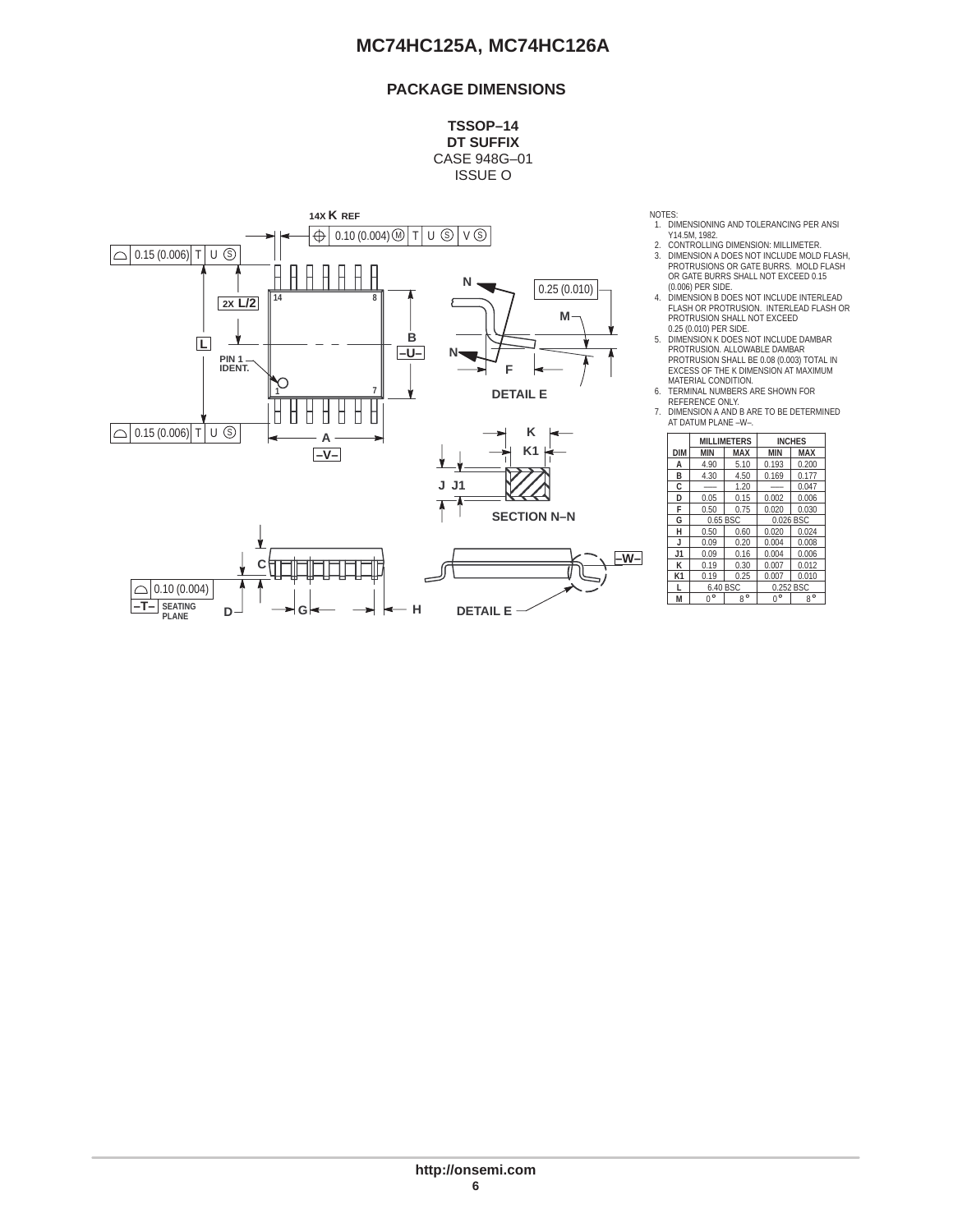## **PACKAGE DIMENSIONS**

**TSSOP–14 DT SUFFIX** CASE 948G–01 ISSUE O



NOTES:

- 1. DIMENSIONING AND TOLERANCING PER ANSI Y14.5M, 1982.
- 2. CONTROLLING DIMENSION: MILLIMETER. 3. DIMENSION A DOES NOT INCLUDE MOLD FLASH, PROTRUSIONS OR GATE BURRS. MOLD FLASH OR GATE BURRS SHALL NOT EXCEED 0.15
- (0.006) PER SIDE. 4. DIMENSION B DOES NOT INCLUDE INTERLEAD FLASH OR PROTRUSION. INTERLEAD FLASH OR PROTRUSION SHALL NOT EXCEED 0.25 (0.010) PER SIDE.
- 5. DIMENSION K DOES NOT INCLUDE DAMBAR PROTRUSION. ALLOWABLE DAMBAR PROTRUSION SHALL BE 0.08 (0.003) TOTAL IN EXCESS OF THE K DIMENSION AT MAXIMUM MATERIAL CONDITION. 6. TERMINAL NUMBERS ARE SHOWN FOR
- 
- REFERENCE ONLY. 7. DIMENSION A AND B ARE TO BE DETERMINED AT DATUM PLANE –W–.

| κ                 |            |             |                    |               |             |  |
|-------------------|------------|-------------|--------------------|---------------|-------------|--|
|                   |            |             | <b>MILLIMETERS</b> | <b>INCHES</b> |             |  |
| K <sub>1</sub>    | <b>DIM</b> | MIN         | <b>MAX</b>         | <b>MIN</b>    | <b>MAX</b>  |  |
|                   | А          | 4.90        | 5.10               | 0.193         | 0.200       |  |
|                   | B          | 4.30        | 4.50               | 0.169         | 0.177       |  |
|                   | C          | ---         | 1.20               | ---           | 0.047       |  |
|                   | D          | 0.05        | 0.15               | 0.002         | 0.006       |  |
|                   | F          | 0.50        | 0.75               | 0.020         | 0.030       |  |
| <b>ECTION N-N</b> | G          | 0.65 BSC    |                    | 0.026 BSC     |             |  |
|                   | н          | 0.50        | 0.60               | 0.020         | 0.024       |  |
|                   | J          | 0.09        | 0.20               | 0.004         | 0.008       |  |
| –w–∣              | J1         | 0.09        | 0.16               | 0.004         | 0.006       |  |
|                   | к          | 0.19        | 0.30               | 0.007         | 0.012       |  |
|                   | K1         | 0.19        | 0.25               | 0.007         | 0.010       |  |
|                   |            | 6.40 BSC    |                    | 0.252 BSC     |             |  |
|                   | М          | $0^{\circ}$ | $8^{\circ}$        | $0^{\circ}$   | $8^{\circ}$ |  |
|                   |            |             |                    |               |             |  |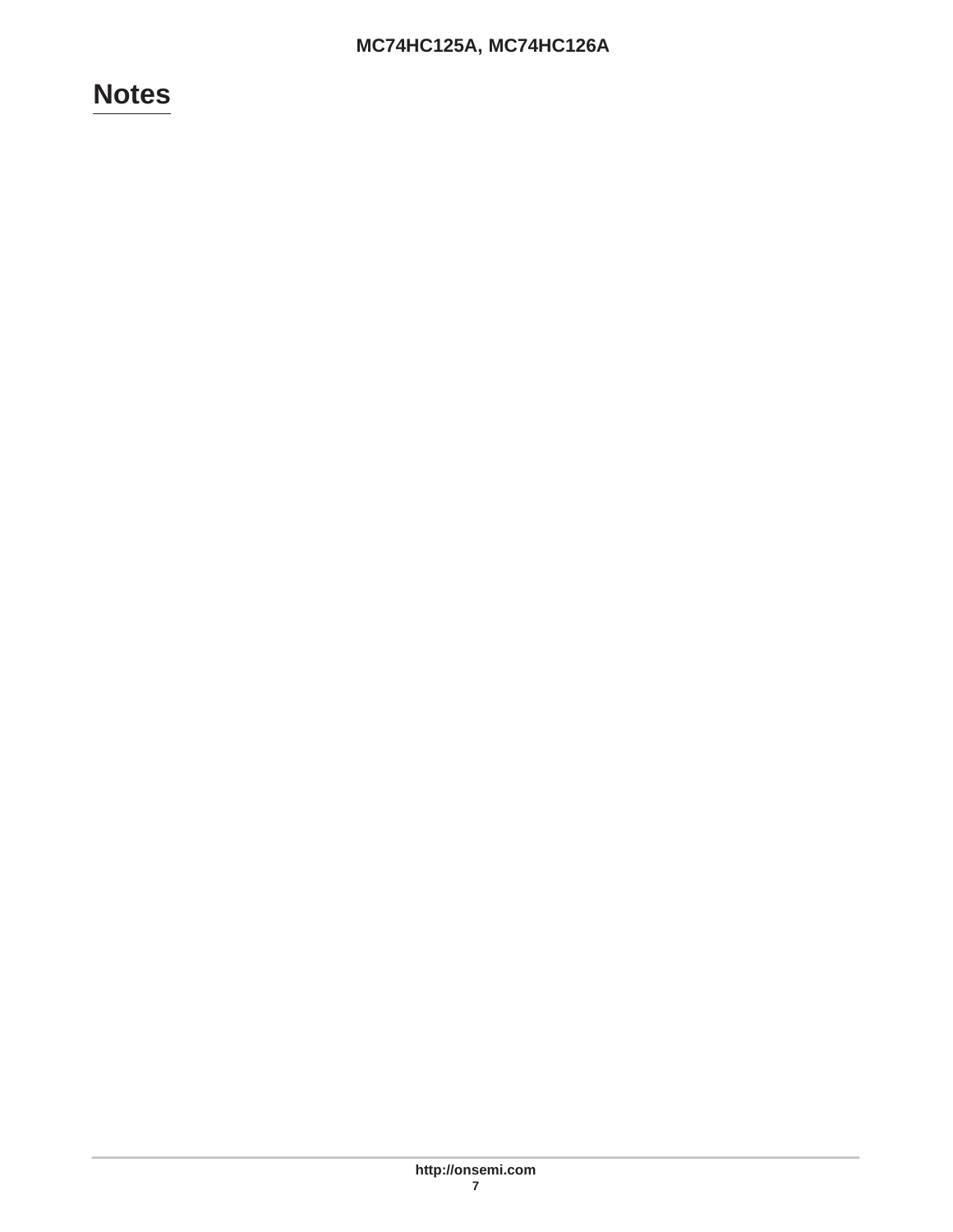# **Notes**